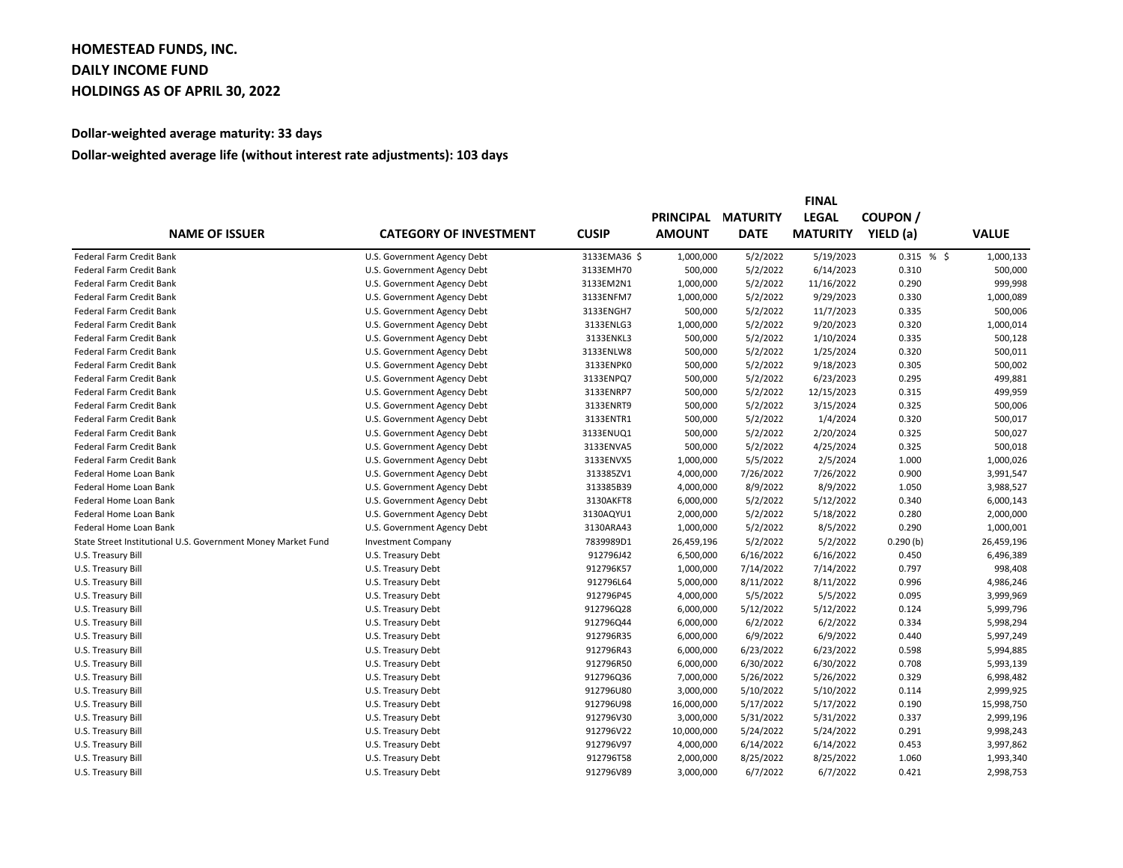## **HOMESTEAD FUNDS, INC. DAILY INCOME FUND HOLDINGS AS OF APRIL 30, 2022**

## **Dollar-weighted average maturity: 33 days**

## **Dollar-weighted average life (without interest rate adjustments): 103 days**

| <b>NAME OF ISSUER</b>                                        | <b>CATEGORY OF INVESTMENT</b> |              | <b>FINAL</b>     |                 |                 |               |              |
|--------------------------------------------------------------|-------------------------------|--------------|------------------|-----------------|-----------------|---------------|--------------|
|                                                              |                               | <b>CUSIP</b> | <b>PRINCIPAL</b> | <b>MATURITY</b> | <b>LEGAL</b>    | <b>COUPON</b> |              |
|                                                              |                               |              | <b>AMOUNT</b>    | <b>DATE</b>     | <b>MATURITY</b> | YIELD (a)     | <b>VALUE</b> |
| Federal Farm Credit Bank                                     | U.S. Government Agency Debt   | 3133EMA36 \$ | 1,000,000        | 5/2/2022        | 5/19/2023       | 0.315%        | 1,000,133    |
| Federal Farm Credit Bank                                     | U.S. Government Agency Debt   | 3133EMH70    | 500,000          | 5/2/2022        | 6/14/2023       | 0.310         | 500,000      |
| Federal Farm Credit Bank                                     | U.S. Government Agency Debt   | 3133EM2N1    | 1,000,000        | 5/2/2022        | 11/16/2022      | 0.290         | 999,998      |
| <b>Federal Farm Credit Bank</b>                              | U.S. Government Agency Debt   | 3133ENFM7    | 1,000,000        | 5/2/2022        | 9/29/2023       | 0.330         | 1,000,089    |
| Federal Farm Credit Bank                                     | U.S. Government Agency Debt   | 3133ENGH7    | 500,000          | 5/2/2022        | 11/7/2023       | 0.335         | 500,006      |
| Federal Farm Credit Bank                                     | U.S. Government Agency Debt   | 3133ENLG3    | 1,000,000        | 5/2/2022        | 9/20/2023       | 0.320         | 1,000,014    |
| Federal Farm Credit Bank                                     | U.S. Government Agency Debt   | 3133ENKL3    | 500,000          | 5/2/2022        | 1/10/2024       | 0.335         | 500,128      |
| Federal Farm Credit Bank                                     | U.S. Government Agency Debt   | 3133ENLW8    | 500,000          | 5/2/2022        | 1/25/2024       | 0.320         | 500,011      |
| <b>Federal Farm Credit Bank</b>                              | U.S. Government Agency Debt   | 3133ENPK0    | 500,000          | 5/2/2022        | 9/18/2023       | 0.305         | 500,002      |
| Federal Farm Credit Bank                                     | U.S. Government Agency Debt   | 3133ENPQ7    | 500,000          | 5/2/2022        | 6/23/2023       | 0.295         | 499,881      |
| Federal Farm Credit Bank                                     | U.S. Government Agency Debt   | 3133ENRP7    | 500,000          | 5/2/2022        | 12/15/2023      | 0.315         | 499,959      |
| Federal Farm Credit Bank                                     | U.S. Government Agency Debt   | 3133ENRT9    | 500,000          | 5/2/2022        | 3/15/2024       | 0.325         | 500,006      |
| Federal Farm Credit Bank                                     | U.S. Government Agency Debt   | 3133ENTR1    | 500,000          | 5/2/2022        | 1/4/2024        | 0.320         | 500,017      |
| Federal Farm Credit Bank                                     | U.S. Government Agency Debt   | 3133ENUQ1    | 500,000          | 5/2/2022        | 2/20/2024       | 0.325         | 500,027      |
| Federal Farm Credit Bank                                     | U.S. Government Agency Debt   | 3133ENVA5    | 500,000          | 5/2/2022        | 4/25/2024       | 0.325         | 500,018      |
| Federal Farm Credit Bank                                     | U.S. Government Agency Debt   | 3133ENVX5    | 1,000,000        | 5/5/2022        | 2/5/2024        | 1.000         | 1,000,026    |
| Federal Home Loan Bank                                       | U.S. Government Agency Debt   | 313385ZV1    | 4,000,000        | 7/26/2022       | 7/26/2022       | 0.900         | 3,991,547    |
| Federal Home Loan Bank                                       | U.S. Government Agency Debt   | 313385B39    | 4,000,000        | 8/9/2022        | 8/9/2022        | 1.050         | 3,988,527    |
| Federal Home Loan Bank                                       | U.S. Government Agency Debt   | 3130AKFT8    | 6,000,000        | 5/2/2022        | 5/12/2022       | 0.340         | 6,000,143    |
| Federal Home Loan Bank                                       | U.S. Government Agency Debt   | 3130AQYU1    | 2,000,000        | 5/2/2022        | 5/18/2022       | 0.280         | 2,000,000    |
| Federal Home Loan Bank                                       | U.S. Government Agency Debt   | 3130ARA43    | 1,000,000        | 5/2/2022        | 8/5/2022        | 0.290         | 1,000,001    |
| State Street Institutional U.S. Government Money Market Fund | <b>Investment Company</b>     | 7839989D1    | 26,459,196       | 5/2/2022        | 5/2/2022        | 0.290(b)      | 26,459,196   |
| U.S. Treasury Bill                                           | U.S. Treasury Debt            | 912796J42    | 6,500,000        | 6/16/2022       | 6/16/2022       | 0.450         | 6,496,389    |
| U.S. Treasury Bill                                           | U.S. Treasury Debt            | 912796K57    | 1,000,000        | 7/14/2022       | 7/14/2022       | 0.797         | 998,408      |
| U.S. Treasury Bill                                           | U.S. Treasury Debt            | 912796L64    | 5,000,000        | 8/11/2022       | 8/11/2022       | 0.996         | 4,986,246    |
| U.S. Treasury Bill                                           | U.S. Treasury Debt            | 912796P45    | 4,000,000        | 5/5/2022        | 5/5/2022        | 0.095         | 3,999,969    |
| U.S. Treasury Bill                                           | U.S. Treasury Debt            | 912796Q28    | 6,000,000        | 5/12/2022       | 5/12/2022       | 0.124         | 5,999,796    |
| U.S. Treasury Bill                                           | U.S. Treasury Debt            | 912796Q44    | 6,000,000        | 6/2/2022        | 6/2/2022        | 0.334         | 5,998,294    |
| U.S. Treasury Bill                                           | U.S. Treasury Debt            | 912796R35    | 6,000,000        | 6/9/2022        | 6/9/2022        | 0.440         | 5,997,249    |
| U.S. Treasury Bill                                           | U.S. Treasury Debt            | 912796R43    | 6,000,000        | 6/23/2022       | 6/23/2022       | 0.598         | 5,994,885    |
| U.S. Treasury Bill                                           | U.S. Treasury Debt            | 912796R50    | 6,000,000        | 6/30/2022       | 6/30/2022       | 0.708         | 5,993,139    |
| U.S. Treasury Bill                                           | U.S. Treasury Debt            | 912796Q36    | 7,000,000        | 5/26/2022       | 5/26/2022       | 0.329         | 6,998,482    |
| U.S. Treasury Bill                                           | U.S. Treasury Debt            | 912796U80    | 3,000,000        | 5/10/2022       | 5/10/2022       | 0.114         | 2,999,925    |
| U.S. Treasury Bill                                           | U.S. Treasury Debt            | 912796U98    | 16,000,000       | 5/17/2022       | 5/17/2022       | 0.190         | 15,998,750   |
| U.S. Treasury Bill                                           | U.S. Treasury Debt            | 912796V30    | 3,000,000        | 5/31/2022       | 5/31/2022       | 0.337         | 2,999,196    |
| U.S. Treasury Bill                                           | U.S. Treasury Debt            | 912796V22    | 10,000,000       | 5/24/2022       | 5/24/2022       | 0.291         | 9,998,243    |
| U.S. Treasury Bill                                           | U.S. Treasury Debt            | 912796V97    | 4,000,000        | 6/14/2022       | 6/14/2022       | 0.453         | 3,997,862    |
| U.S. Treasury Bill                                           | U.S. Treasury Debt            | 912796T58    | 2,000,000        | 8/25/2022       | 8/25/2022       | 1.060         | 1,993,340    |
| U.S. Treasury Bill                                           | U.S. Treasury Debt            | 912796V89    | 3,000,000        | 6/7/2022        | 6/7/2022        | 0.421         | 2,998,753    |